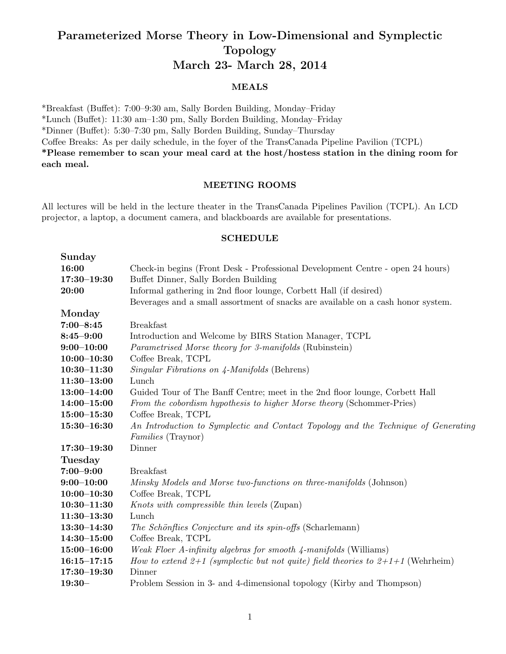# Parameterized Morse Theory in Low-Dimensional and Symplectic Topology March 23- March 28, 2014

### MEALS

\*Breakfast (Buffet): 7:00-9:30 am, Sally Borden Building, Monday-Friday  $*Lunch$  (Buffet): 11:30 am–1:30 pm, Sally Borden Building, Monday–Friday \*Dinner (Bu↵et): 5:30–7:30 pm, Sally Borden Building, Sunday–Thursday Coffee Breaks: As per daily schedule, in the foyer of the TransCanada Pipeline Pavilion (TCPL) \*Please remember to scan your meal card at the host/hostess station in the dining room for each meal.

### MEETING ROOMS

All lectures will be held in the lecture theater in the TransCanada Pipelines Pavilion (TCPL). An LCD projector, a laptop, a document camera, and blackboards are available for presentations.

#### SCHEDULE

| Sunday          |                                                                                     |
|-----------------|-------------------------------------------------------------------------------------|
| 16:00           | Check-in begins (Front Desk - Professional Development Centre - open 24 hours)      |
| $17:30 - 19:30$ | Buffet Dinner, Sally Borden Building                                                |
| 20:00           | Informal gathering in 2nd floor lounge, Corbett Hall (if desired)                   |
|                 | Beverages and a small assortment of snacks are available on a cash honor system.    |
| Monday          |                                                                                     |
| $7:00 - 8:45$   | <b>Breakfast</b>                                                                    |
| $8:45 - 9:00$   | Introduction and Welcome by BIRS Station Manager, TCPL                              |
| $9:00 - 10:00$  | Parametrised Morse theory for 3-manifolds (Rubinstein)                              |
| $10:00 - 10:30$ | Coffee Break, TCPL                                                                  |
| $10:30 - 11:30$ | <i>Singular Fibrations on 4-Manifolds</i> (Behrens)                                 |
| $11:30 - 13:00$ | $\mathop{\rm Lunch}\nolimits$                                                       |
| $13:00 - 14:00$ | Guided Tour of The Banff Centre; meet in the 2nd floor lounge, Corbett Hall         |
| $14:00 - 15:00$ | From the cobordism hypothesis to higher Morse theory (Schommer-Pries)               |
| $15:00 - 15:30$ | Coffee Break, TCPL                                                                  |
| $15:30 - 16:30$ | An Introduction to Symplectic and Contact Topology and the Technique of Generating  |
|                 | <i>Families</i> (Traynor)                                                           |
| $17:30 - 19:30$ | Dinner                                                                              |
| <b>Tuesday</b>  |                                                                                     |
| $7:00 - 9:00$   | <b>Breakfast</b>                                                                    |
| $9:00 - 10:00$  | Minsky Models and Morse two-functions on three-manifolds (Johnson)                  |
| $10:00 - 10:30$ | Coffee Break, TCPL                                                                  |
| $10:30 - 11:30$ | Knots with compressible thin levels (Zupan)                                         |
| $11:30-13:30$   | Lunch                                                                               |
| $13:30 - 14:30$ | The Schönflies Conjecture and its spin-offs (Scharlemann)                           |
| $14:30 - 15:00$ | Coffee Break, TCPL                                                                  |
| $15:00 - 16:00$ | <i>Weak Floer A-infinity algebras for smooth 4-manifolds</i> (Williams)             |
| $16:15 - 17:15$ | How to extend $2+1$ (symplectic but not quite) field theories to $2+1+1$ (Wehrheim) |
| $17:30 - 19:30$ | Dinner                                                                              |
| $19:30-$        | Problem Session in 3- and 4-dimensional topology (Kirby and Thompson)               |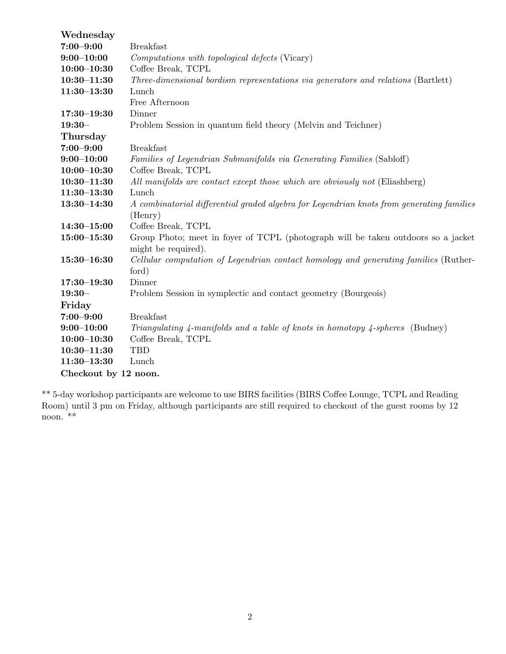| Wednesday            |                                                                                            |  |
|----------------------|--------------------------------------------------------------------------------------------|--|
| $7:00 - 9:00$        | <b>Breakfast</b>                                                                           |  |
| $9:00 - 10:00$       | Computations with topological defects (Vicary)                                             |  |
| $10:00 - 10:30$      | Coffee Break, TCPL                                                                         |  |
| $10:30 - 11:30$      | Three-dimensional bordism representations via generators and relations (Bartlett)          |  |
| $11:30 - 13:30$      | Lunch                                                                                      |  |
|                      | Free Afternoon                                                                             |  |
| $17:30 - 19:30$      | Dinner                                                                                     |  |
| $19:30-$             | Problem Session in quantum field theory (Melvin and Teichner)                              |  |
| Thursday             |                                                                                            |  |
| $7:00 - 9:00$        | <b>Breakfast</b>                                                                           |  |
| $9:00 - 10:00$       | Families of Legendrian Submanifolds via Generating Families (Sabloff)                      |  |
| $10:00 - 10:30$      | Coffee Break, TCPL                                                                         |  |
| $10:30 - 11:30$      | All manifolds are contact except those which are obviously not (Eliashberg)                |  |
| $11:30 - 13:30$      | Lunch                                                                                      |  |
| $13:30 - 14:30$      | A combinatorial differential graded algebra for Legendrian knots from generating families  |  |
|                      | (Henry)                                                                                    |  |
| $14:30 - 15:00$      | Coffee Break, TCPL                                                                         |  |
| $15:00 - 15:30$      | Group Photo; meet in foyer of TCPL (photograph will be taken outdoors so a jacket          |  |
|                      | might be required).                                                                        |  |
| $15:30 - 16:30$      | Cellular computation of Legendrian contact homology and generating families (Ruther-       |  |
|                      | ford)                                                                                      |  |
| $17:30 - 19:30$      | Dinner                                                                                     |  |
| $19:30-$             | Problem Session in symplectic and contact geometry (Bourgeois)                             |  |
| Friday               |                                                                                            |  |
| $7:00 - 9:00$        | <b>Breakfast</b>                                                                           |  |
| $9:00 - 10:00$       | Triangulating 4-manifolds and a table of knots in homotopy $\frac{1}{2}$ -spheres (Budney) |  |
| $10:00 - 10:30$      | Coffee Break, TCPL                                                                         |  |
| $10:30 - 11:30$      | <b>TBD</b>                                                                                 |  |
| $11:30 - 13:30$      | Lunch                                                                                      |  |
| Checkout by 12 noon. |                                                                                            |  |

\*\* 5-day workshop participants are welcome to use BIRS facilities (BIRS Coffee Lounge, TCPL and Reading Room) until 3 pm on Friday, although participants are still required to checkout of the guest rooms by 12 noon. \*\*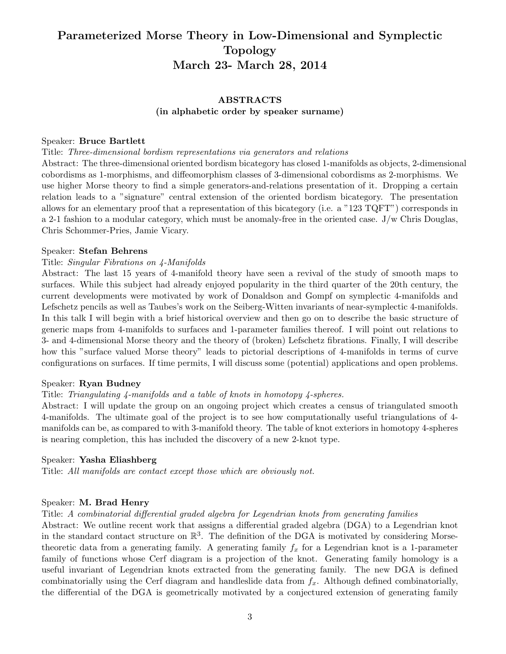# Parameterized Morse Theory in Low-Dimensional and Symplectic Topology March 23- March 28, 2014

# ABSTRACTS (in alphabetic order by speaker surname)

### Speaker: Bruce Bartlett

### Title: *Three-dimensional bordism representations via generators and relations*

Abstract: The three-dimensional oriented bordism bicategory has closed 1-manifolds as objects, 2-dimensional cobordisms as 1-morphisms, and diffeomorphism classes of 3-dimensional cobordisms as 2-morphisms. We use higher Morse theory to find a simple generators-and-relations presentation of it. Dropping a certain relation leads to a "signature" central extension of the oriented bordism bicategory. The presentation allows for an elementary proof that a representation of this bicategory (i.e. a "123 TQFT") corresponds in a 2-1 fashion to a modular category, which must be anomaly-free in the oriented case. J/w Chris Douglas, Chris Schommer-Pries, Jamie Vicary.

### Speaker: Stefan Behrens

### Title: *Singular Fibrations on 4-Manifolds*

Abstract: The last 15 years of 4-manifold theory have seen a revival of the study of smooth maps to surfaces. While this subject had already enjoyed popularity in the third quarter of the 20th century, the current developments were motivated by work of Donaldson and Gompf on symplectic 4-manifolds and Lefschetz pencils as well as Taubes's work on the Seiberg-Witten invariants of near-symplectic 4-manifolds. In this talk I will begin with a brief historical overview and then go on to describe the basic structure of generic maps from 4-manifolds to surfaces and 1-parameter families thereof. I will point out relations to 3- and 4-dimensional Morse theory and the theory of (broken) Lefschetz fibrations. Finally, I will describe how this "surface valued Morse theory" leads to pictorial descriptions of 4-manifolds in terms of curve configurations on surfaces. If time permits, I will discuss some (potential) applications and open problems.

### Speaker: Ryan Budney

### Title: *Triangulating 4-manifolds and a table of knots in homotopy 4-spheres.*

Abstract: I will update the group on an ongoing project which creates a census of triangulated smooth 4-manifolds. The ultimate goal of the project is to see how computationally useful triangulations of 4 manifolds can be, as compared to with 3-manifold theory. The table of knot exteriors in homotopy 4-spheres is nearing completion, this has included the discovery of a new 2-knot type.

### Speaker: Yasha Eliashberg

Title: *All manifolds are contact except those which are obviously not.*

### Speaker: M. Brad Henry

### Title: *A combinatorial differential graded algebra for Legendrian knots from generating families*

Abstract: We outline recent work that assigns a differential graded algebra (DGA) to a Legendrian knot in the standard contact structure on  $\mathbb{R}^3$ . The definition of the DGA is motivated by considering Morsetheoretic data from a generating family. A generating family  $f_x$  for a Legendrian knot is a 1-parameter family of functions whose Cerf diagram is a projection of the knot. Generating family homology is a useful invariant of Legendrian knots extracted from the generating family. The new DGA is defined combinatorially using the Cerf diagram and handleslide data from *fx*. Although defined combinatorially, the differential of the DGA is geometrically motivated by a conjectured extension of generating family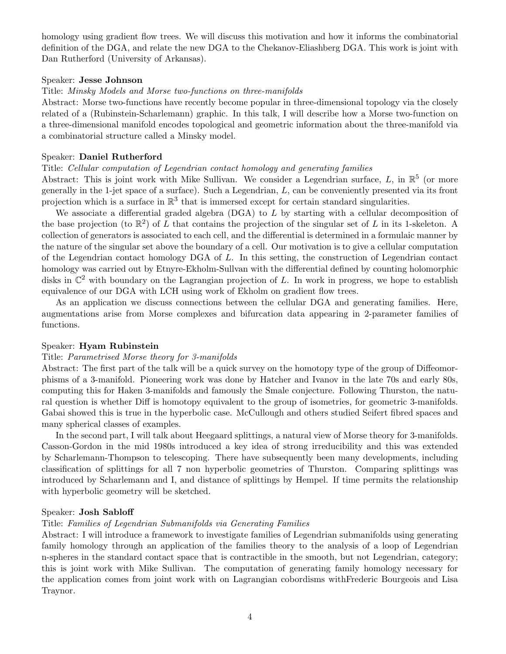homology using gradient flow trees. We will discuss this motivation and how it informs the combinatorial definition of the DGA, and relate the new DGA to the Chekanov-Eliashberg DGA. This work is joint with Dan Rutherford (University of Arkansas).

#### Speaker: Jesse Johnson

### Title: *Minsky Models and Morse two-functions on three-manifolds*

Abstract: Morse two-functions have recently become popular in three-dimensional topology via the closely related of a (Rubinstein-Scharlemann) graphic. In this talk, I will describe how a Morse two-function on a three-dimensional manifold encodes topological and geometric information about the three-manifold via a combinatorial structure called a Minsky model.

#### Speaker: Daniel Rutherford

### Title: *Cellular computation of Legendrian contact homology and generating families*

Abstract: This is joint work with Mike Sullivan. We consider a Legendrian surface,  $L$ , in  $\mathbb{R}^5$  (or more generally in the 1-jet space of a surface). Such a Legendrian, *L*, can be conveniently presented via its front projection which is a surface in  $\mathbb{R}^3$  that is immersed except for certain standard singularities.

We associate a differential graded algebra  $(DGA)$  to  $L$  by starting with a cellular decomposition of the base projection (to  $\mathbb{R}^2$ ) of L that contains the projection of the singular set of L in its 1-skeleton. A collection of generators is associated to each cell, and the differential is determined in a formulaic manner by the nature of the singular set above the boundary of a cell. Our motivation is to give a cellular computation of the Legendrian contact homology DGA of *L*. In this setting, the construction of Legendrian contact homology was carried out by Etnyre-Ekholm-Sullvan with the differential defined by counting holomorphic disks in  $\mathbb{C}^2$  with boundary on the Lagrangian projection of L. In work in progress, we hope to establish equivalence of our DGA with LCH using work of Ekholm on gradient flow trees.

As an application we discuss connections between the cellular DGA and generating families. Here, augmentations arise from Morse complexes and bifurcation data appearing in 2-parameter families of functions.

#### Speaker: Hyam Rubinstein

#### Title: *Parametrised Morse theory for 3-manifolds*

Abstract: The first part of the talk will be a quick survey on the homotopy type of the group of Diffeomorphisms of a 3-manifold. Pioneering work was done by Hatcher and Ivanov in the late 70s and early 80s, computing this for Haken 3-manifolds and famously the Smale conjecture. Following Thurston, the natural question is whether Diff is homotopy equivalent to the group of isometries, for geometric 3-manifolds. Gabai showed this is true in the hyperbolic case. McCullough and others studied Seifert fibred spaces and many spherical classes of examples.

In the second part, I will talk about Heegaard splittings, a natural view of Morse theory for 3-manifolds. Casson-Gordon in the mid 1980s introduced a key idea of strong irreducibility and this was extended by Scharlemann-Thompson to telescoping. There have subsequently been many developments, including classification of splittings for all 7 non hyperbolic geometries of Thurston. Comparing splittings was introduced by Scharlemann and I, and distance of splittings by Hempel. If time permits the relationship with hyperbolic geometry will be sketched.

### Speaker: Josh Sabloff

#### Title: *Families of Legendrian Submanifolds via Generating Families*

Abstract: I will introduce a framework to investigate families of Legendrian submanifolds using generating family homology through an application of the families theory to the analysis of a loop of Legendrian n-spheres in the standard contact space that is contractible in the smooth, but not Legendrian, category; this is joint work with Mike Sullivan. The computation of generating family homology necessary for the application comes from joint work with on Lagrangian cobordisms withFrederic Bourgeois and Lisa Traynor.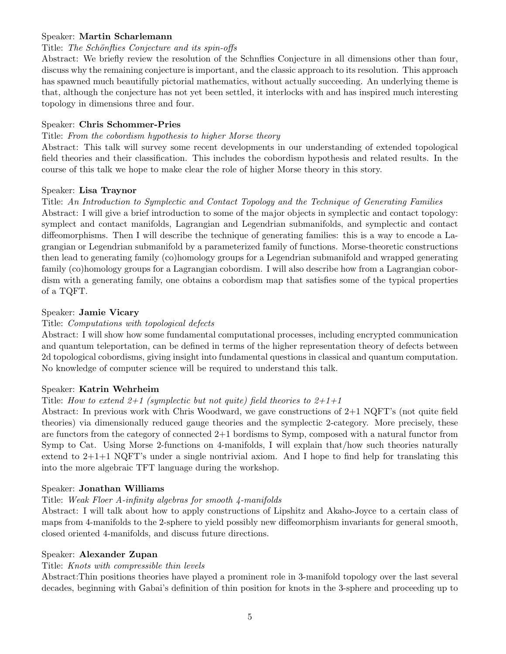# Speaker: Martin Scharlemann

# Title: *The Schönflies Conjecture and its spin-offs*

Abstract: We briefly review the resolution of the Schnflies Conjecture in all dimensions other than four, discuss why the remaining conjecture is important, and the classic approach to its resolution. This approach has spawned much beautifully pictorial mathematics, without actually succeeding. An underlying theme is that, although the conjecture has not yet been settled, it interlocks with and has inspired much interesting topology in dimensions three and four.

# Speaker: Chris Schommer-Pries

# Title: *From the cobordism hypothesis to higher Morse theory*

Abstract: This talk will survey some recent developments in our understanding of extended topological field theories and their classification. This includes the cobordism hypothesis and related results. In the course of this talk we hope to make clear the role of higher Morse theory in this story.

# Speaker: Lisa Traynor

# Title: *An Introduction to Symplectic and Contact Topology and the Technique of Generating Families*

Abstract: I will give a brief introduction to some of the major objects in symplectic and contact topology: symplect and contact manifolds, Lagrangian and Legendrian submanifolds, and symplectic and contact diffeomorphisms. Then I will describe the technique of generating families: this is a way to encode a Lagrangian or Legendrian submanifold by a parameterized family of functions. Morse-theoretic constructions then lead to generating family (co)homology groups for a Legendrian submanifold and wrapped generating family (co)homology groups for a Lagrangian cobordism. I will also describe how from a Lagrangian cobordism with a generating family, one obtains a cobordism map that satisfies some of the typical properties of a TQFT.

# Speaker: Jamie Vicary

# Title: *Computations with topological defects*

Abstract: I will show how some fundamental computational processes, including encrypted communication and quantum teleportation, can be defined in terms of the higher representation theory of defects between 2d topological cobordisms, giving insight into fundamental questions in classical and quantum computation. No knowledge of computer science will be required to understand this talk.

# Speaker: Katrin Wehrheim

# Title: *How to extend 2+1 (symplectic but not quite) field theories to 2+1+1*

Abstract: In previous work with Chris Woodward, we gave constructions of 2+1 NQFT's (not quite field theories) via dimensionally reduced gauge theories and the symplectic 2-category. More precisely, these are functors from the category of connected 2+1 bordisms to Symp, composed with a natural functor from Symp to Cat. Using Morse 2-functions on 4-manifolds, I will explain that/how such theories naturally extend to  $2+1+1$  NQFT's under a single nontrivial axiom. And I hope to find help for translating this into the more algebraic TFT language during the workshop.

# Speaker: Jonathan Williams

# Title: *Weak Floer A-infinity algebras for smooth 4-manifolds*

Abstract: I will talk about how to apply constructions of Lipshitz and Akaho-Joyce to a certain class of maps from 4-manifolds to the 2-sphere to yield possibly new diffeomorphism invariants for general smooth, closed oriented 4-manifolds, and discuss future directions.

# Speaker: Alexander Zupan

# Title: *Knots with compressible thin levels*

Abstract:Thin positions theories have played a prominent role in 3-manifold topology over the last several decades, beginning with Gabai's definition of thin position for knots in the 3-sphere and proceeding up to